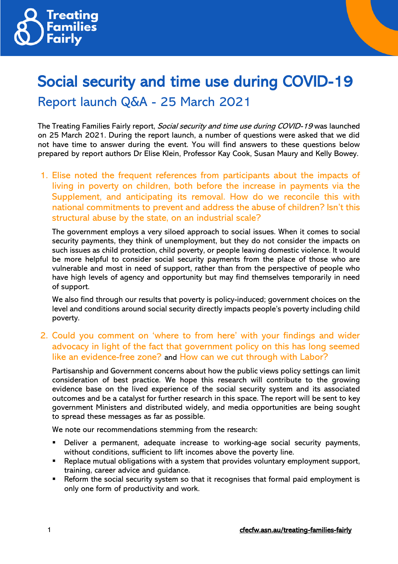

# Social security and time use during COVID-19 Report launch Q&A - 25 March 2021

The Treating Families Fairly report, Social security and time use during COVID-19 was launched on 25 March 2021. During the report launch, a number of questions were asked that we did not have time to answer during the event. You will find answers to these questions below prepared by report authors Dr Elise Klein, Professor Kay Cook, Susan Maury and Kelly Bowey.

1. Elise noted the frequent references from participants about the impacts of living in poverty on children, both before the increase in payments via the Supplement, and anticipating its removal. How do we reconcile this with national commitments to prevent and address the abuse of children? Isn't this structural abuse by the state, on an industrial scale?

The government employs a very siloed approach to social issues. When it comes to social security payments, they think of unemployment, but they do not consider the impacts on such issues as child protection, child poverty, or people leaving domestic violence. It would be more helpful to consider social security payments from the place of those who are vulnerable and most in need of support, rather than from the perspective of people who have high levels of agency and opportunity but may find themselves temporarily in need of support.

We also find through our results that poverty is policy-induced; government choices on the level and conditions around social security directly impacts people's poverty including child poverty.

## 2. Could you comment on 'where to from here' with your findings and wider advocacy in light of the fact that government policy on this has long seemed like an evidence-free zone? and How can we cut through with Labor?

Partisanship and Government concerns about how the public views policy settings can limit consideration of best practice. We hope this research will contribute to the growing evidence base on the lived experience of the social security system and its associated outcomes and be a catalyst for further research in this space. The report will be sent to key government Ministers and distributed widely, and media opportunities are being sought to spread these messages as far as possible.

We note our recommendations stemming from the research:

- Deliver a permanent, adequate increase to working-age social security payments, without conditions, sufficient to lift incomes above the poverty line.
- Replace mutual obligations with a system that provides voluntary employment support, training, career advice and guidance.
- Reform the social security system so that it recognises that formal paid employment is only one form of productivity and work.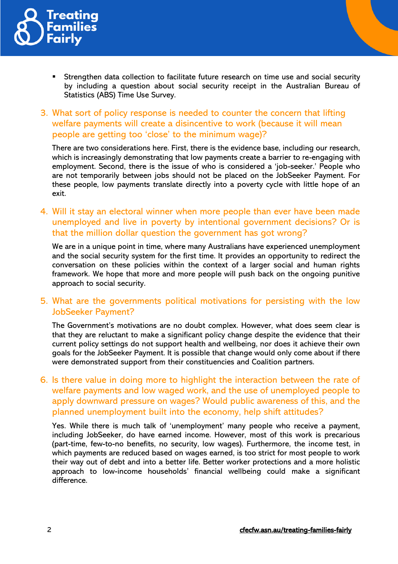

- Strengthen data collection to facilitate future research on time use and social security by including a question about social security receipt in the Australian Bureau of Statistics (ABS) Time Use Survey.
- 3. What sort of policy response is needed to counter the concern that lifting welfare payments will create a disincentive to work (because it will mean people are getting too 'close' to the minimum wage)?

There are two considerations here. First, there is the evidence base, including our research, which is increasingly demonstrating that low payments create a barrier to re-engaging with employment. Second, there is the issue of who is considered a 'job-seeker.' People who are not temporarily between jobs should not be placed on the JobSeeker Payment. For these people, low payments translate directly into a poverty cycle with little hope of an exit.

4. Will it stay an electoral winner when more people than ever have been made unemployed and live in poverty by intentional government decisions? Or is that the million dollar question the government has got wrong?

We are in a unique point in time, where many Australians have experienced unemployment and the social security system for the first time. It provides an opportunity to redirect the conversation on these policies within the context of a larger social and human rights framework. We hope that more and more people will push back on the ongoing punitive approach to social security.

## 5. What are the governments political motivations for persisting with the low JobSeeker Payment?

The Government's motivations are no doubt complex. However, what does seem clear is that they are reluctant to make a significant policy change despite the evidence that their current policy settings do not support health and wellbeing, nor does it achieve their own goals for the JobSeeker Payment. It is possible that change would only come about if there were demonstrated support from their constituencies and Coalition partners.

6. Is there value in doing more to highlight the interaction between the rate of welfare payments and low waged work, and the use of unemployed people to apply downward pressure on wages? Would public awareness of this, and the planned unemployment built into the economy, help shift attitudes?

Yes. While there is much talk of 'unemployment' many people who receive a payment, including JobSeeker, do have earned income. However, most of this work is precarious (part-time, few-to-no benefits, no security, low wages). Furthermore, the income test, in which payments are reduced based on wages earned, is too strict for most people to work their way out of debt and into a better life. Better worker protections and a more holistic approach to low-income households' financial wellbeing could make a significant difference.